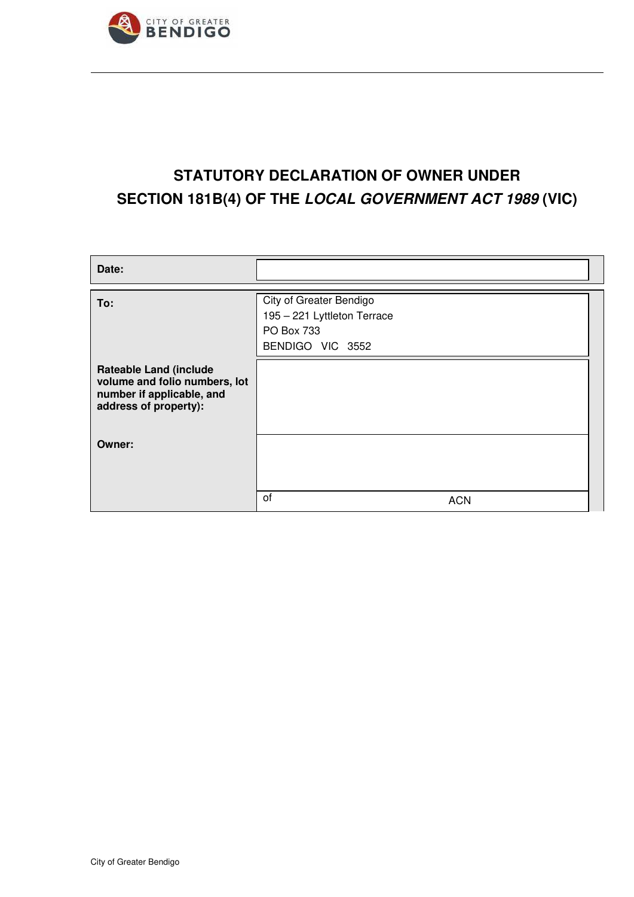

# **STATUTORY DECLARATION OF OWNER UNDER SECTION 181B(4) OF THE LOCAL GOVERNMENT ACT 1989 (VIC)**

| Date:                                                                                                                |                                                                                          |
|----------------------------------------------------------------------------------------------------------------------|------------------------------------------------------------------------------------------|
| To:                                                                                                                  | City of Greater Bendigo<br>195 - 221 Lyttleton Terrace<br>PO Box 733<br>BENDIGO VIC 3552 |
| <b>Rateable Land (include</b><br>volume and folio numbers, lot<br>number if applicable, and<br>address of property): |                                                                                          |
| Owner:                                                                                                               |                                                                                          |
|                                                                                                                      | of<br><b>ACN</b>                                                                         |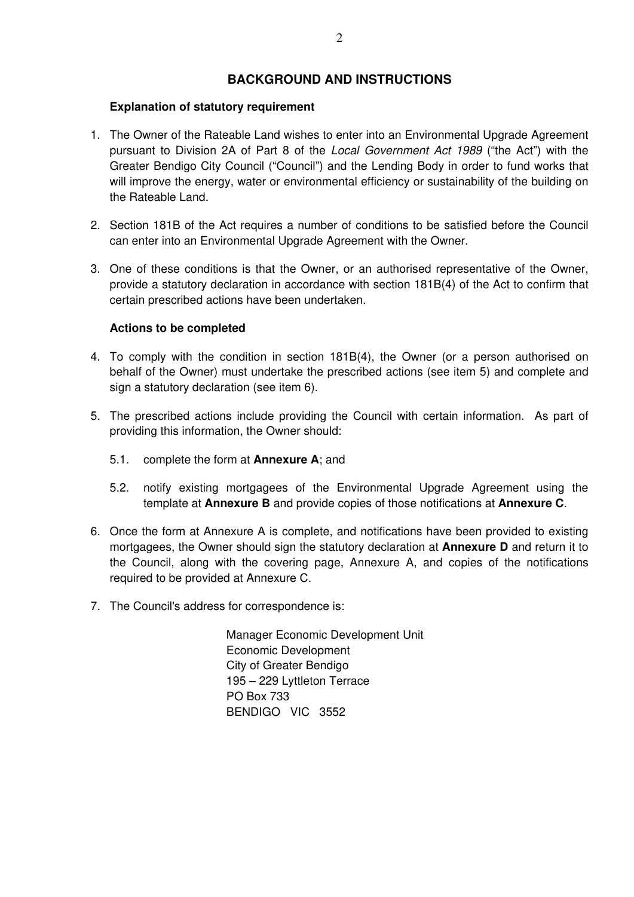## **BACKGROUND AND INSTRUCTIONS**

#### **Explanation of statutory requirement**

- 1. The Owner of the Rateable Land wishes to enter into an Environmental Upgrade Agreement pursuant to Division 2A of Part 8 of the Local Government Act 1989 ("the Act") with the Greater Bendigo City Council ("Council") and the Lending Body in order to fund works that will improve the energy, water or environmental efficiency or sustainability of the building on the Rateable Land.
- 2. Section 181B of the Act requires a number of conditions to be satisfied before the Council can enter into an Environmental Upgrade Agreement with the Owner.
- 3. One of these conditions is that the Owner, or an authorised representative of the Owner, provide a statutory declaration in accordance with section 181B(4) of the Act to confirm that certain prescribed actions have been undertaken.

#### **Actions to be completed**

- 4. To comply with the condition in section 181B(4), the Owner (or a person authorised on behalf of the Owner) must undertake the prescribed actions (see item 5) and complete and sign a statutory declaration (see item 6).
- 5. The prescribed actions include providing the Council with certain information. As part of providing this information, the Owner should:
	- 5.1. complete the form at **Annexure A**; and
	- 5.2. notify existing mortgagees of the Environmental Upgrade Agreement using the template at **Annexure B** and provide copies of those notifications at **Annexure C**.
- 6. Once the form at Annexure A is complete, and notifications have been provided to existing mortgagees, the Owner should sign the statutory declaration at **Annexure D** and return it to the Council, along with the covering page, Annexure A, and copies of the notifications required to be provided at Annexure C.
- 7. The Council's address for correspondence is:

Manager Economic Development Unit Economic Development City of Greater Bendigo 195 – 229 Lyttleton Terrace PO Box 733 BENDIGO VIC 3552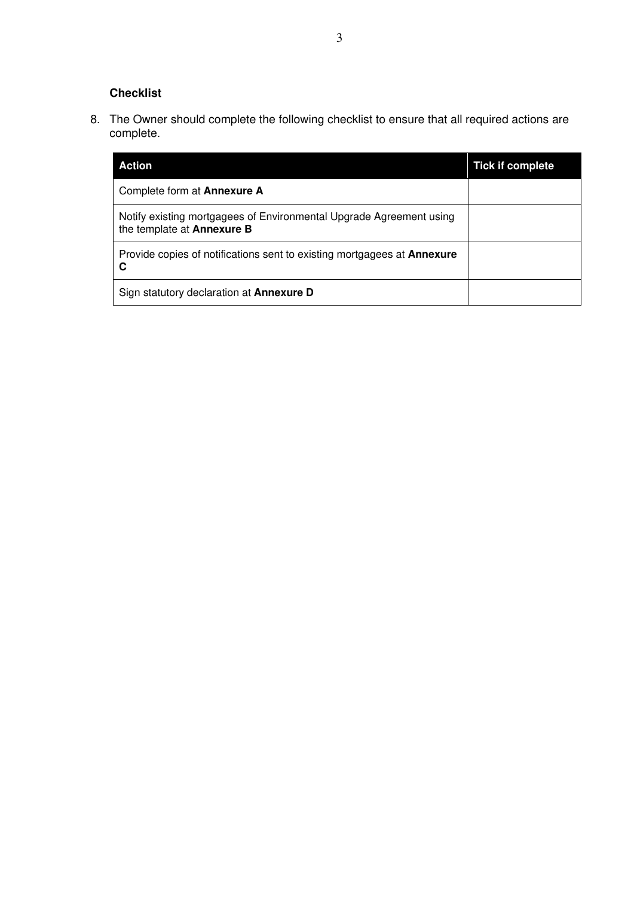# **Checklist**

8. The Owner should complete the following checklist to ensure that all required actions are complete.

| Action                                                                                            | <b>Tick if complete</b> |
|---------------------------------------------------------------------------------------------------|-------------------------|
| Complete form at <b>Annexure A</b>                                                                |                         |
| Notify existing mortgagees of Environmental Upgrade Agreement using<br>the template at Annexure B |                         |
| Provide copies of notifications sent to existing mortgagees at <b>Annexure</b><br>C               |                         |
| Sign statutory declaration at <b>Annexure D</b>                                                   |                         |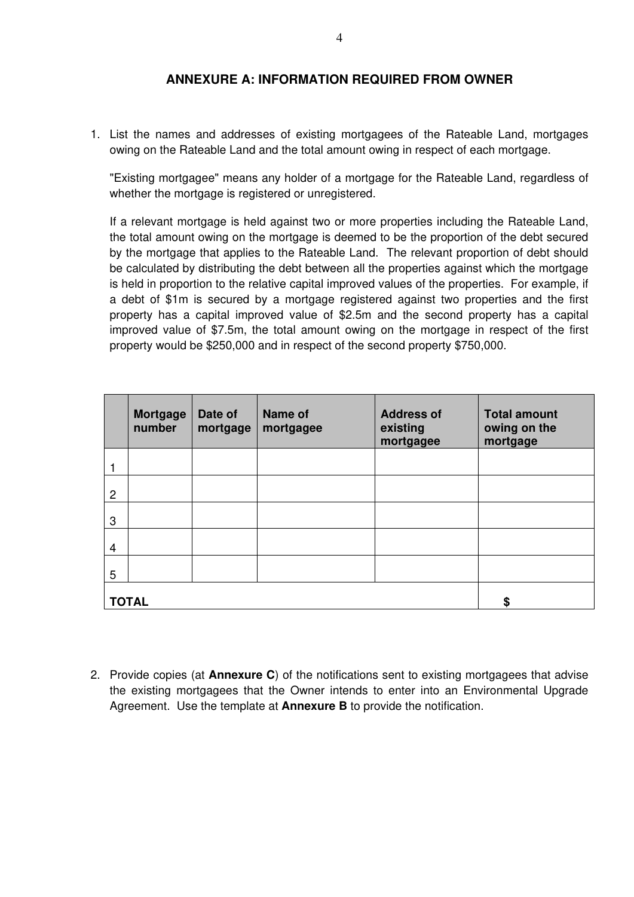### **ANNEXURE A: INFORMATION REQUIRED FROM OWNER**

1. List the names and addresses of existing mortgagees of the Rateable Land, mortgages owing on the Rateable Land and the total amount owing in respect of each mortgage.

"Existing mortgagee" means any holder of a mortgage for the Rateable Land, regardless of whether the mortgage is registered or unregistered.

If a relevant mortgage is held against two or more properties including the Rateable Land, the total amount owing on the mortgage is deemed to be the proportion of the debt secured by the mortgage that applies to the Rateable Land. The relevant proportion of debt should be calculated by distributing the debt between all the properties against which the mortgage is held in proportion to the relative capital improved values of the properties. For example, if a debt of \$1m is secured by a mortgage registered against two properties and the first property has a capital improved value of \$2.5m and the second property has a capital improved value of \$7.5m, the total amount owing on the mortgage in respect of the first property would be \$250,000 and in respect of the second property \$750,000.

|   | <b>Mortgage</b><br>number | Date of<br>mortgage | <b>Name of</b><br>mortgagee | <b>Address of</b><br>existing<br>mortgagee | <b>Total amount</b><br>owing on the<br>mortgage |
|---|---------------------------|---------------------|-----------------------------|--------------------------------------------|-------------------------------------------------|
|   |                           |                     |                             |                                            |                                                 |
| 2 |                           |                     |                             |                                            |                                                 |
| 3 |                           |                     |                             |                                            |                                                 |
| 4 |                           |                     |                             |                                            |                                                 |
| 5 |                           |                     |                             |                                            |                                                 |
|   | <b>TOTAL</b>              | S                   |                             |                                            |                                                 |

2. Provide copies (at **Annexure C**) of the notifications sent to existing mortgagees that advise the existing mortgagees that the Owner intends to enter into an Environmental Upgrade Agreement. Use the template at **Annexure B** to provide the notification.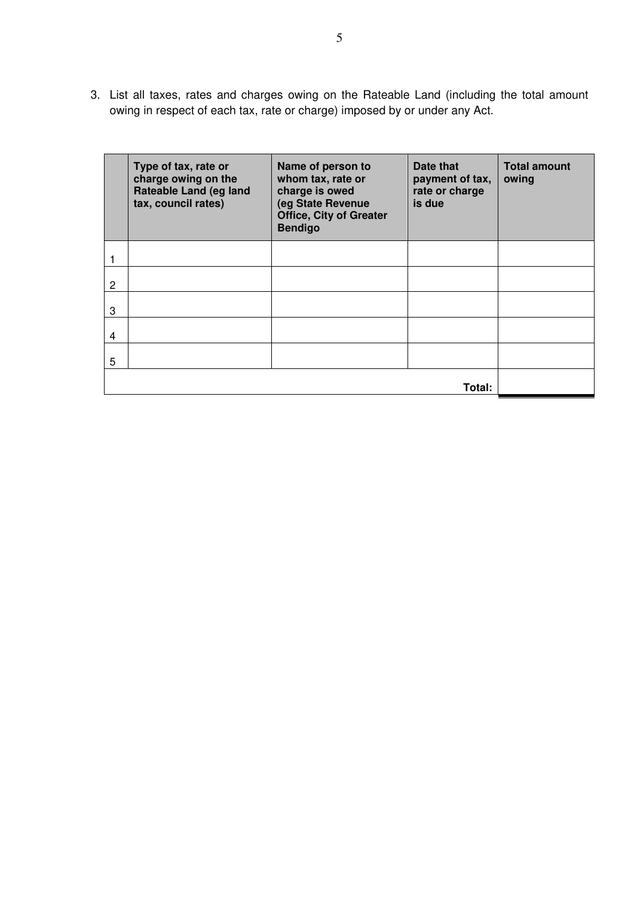3. List all taxes, rates and charges owing on the Rateable Land (including the total amount owing in respect of each tax, rate or charge) imposed by or under any Act.

|                | Type of tax, rate or<br>charge owing on the<br>Rateable Land (eg land<br>tax, council rates) | Name of person to<br>whom tax, rate or<br>charge is owed<br>(eg State Revenue<br><b>Office, City of Greater</b><br><b>Bendigo</b> | Date that<br>payment of tax,<br>rate or charge<br>is due | <b>Total amount</b><br>owing |
|----------------|----------------------------------------------------------------------------------------------|-----------------------------------------------------------------------------------------------------------------------------------|----------------------------------------------------------|------------------------------|
|                |                                                                                              |                                                                                                                                   |                                                          |                              |
| $\overline{c}$ |                                                                                              |                                                                                                                                   |                                                          |                              |
| 3              |                                                                                              |                                                                                                                                   |                                                          |                              |
| $\overline{4}$ |                                                                                              |                                                                                                                                   |                                                          |                              |
| 5              |                                                                                              |                                                                                                                                   |                                                          |                              |
|                |                                                                                              |                                                                                                                                   |                                                          |                              |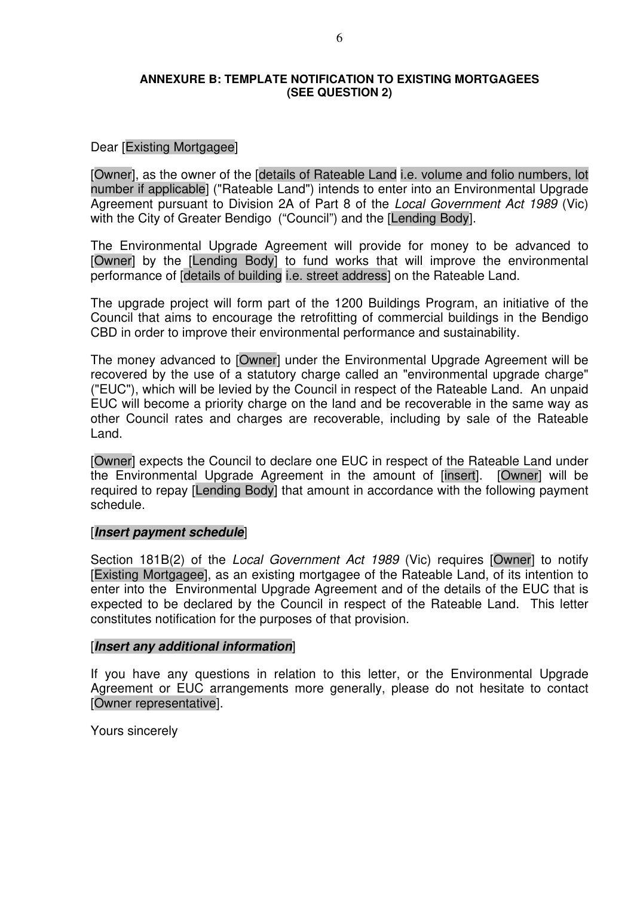#### **ANNEXURE B: TEMPLATE NOTIFICATION TO EXISTING MORTGAGEES (SEE QUESTION 2)**

#### Dear [Existing Mortgagee]

[Owner], as the owner of the [details of Rateable Land i.e. volume and folio numbers, lot number if applicable] ("Rateable Land") intends to enter into an Environmental Upgrade Agreement pursuant to Division 2A of Part 8 of the Local Government Act 1989 (Vic) with the City of Greater Bendigo ("Council") and the [Lending Body].

The Environmental Upgrade Agreement will provide for money to be advanced to [Owner] by the [Lending Body] to fund works that will improve the environmental performance of [details of building i.e. street address] on the Rateable Land.

The upgrade project will form part of the 1200 Buildings Program, an initiative of the Council that aims to encourage the retrofitting of commercial buildings in the Bendigo CBD in order to improve their environmental performance and sustainability.

The money advanced to [Owner] under the Environmental Upgrade Agreement will be recovered by the use of a statutory charge called an "environmental upgrade charge" ("EUC"), which will be levied by the Council in respect of the Rateable Land. An unpaid EUC will become a priority charge on the land and be recoverable in the same way as other Council rates and charges are recoverable, including by sale of the Rateable Land.

[Owner] expects the Council to declare one EUC in respect of the Rateable Land under the Environmental Upgrade Agreement in the amount of [insert]. [Owner] will be required to repay [Lending Body] that amount in accordance with the following payment schedule.

#### [**Insert payment schedule**]

Section 181B(2) of the Local Government Act 1989 (Vic) requires [Owner] to notify [Existing Mortgagee], as an existing mortgagee of the Rateable Land, of its intention to enter into the Environmental Upgrade Agreement and of the details of the EUC that is expected to be declared by the Council in respect of the Rateable Land. This letter constitutes notification for the purposes of that provision.

#### [**Insert any additional information**]

If you have any questions in relation to this letter, or the Environmental Upgrade Agreement or EUC arrangements more generally, please do not hesitate to contact [Owner representative].

Yours sincerely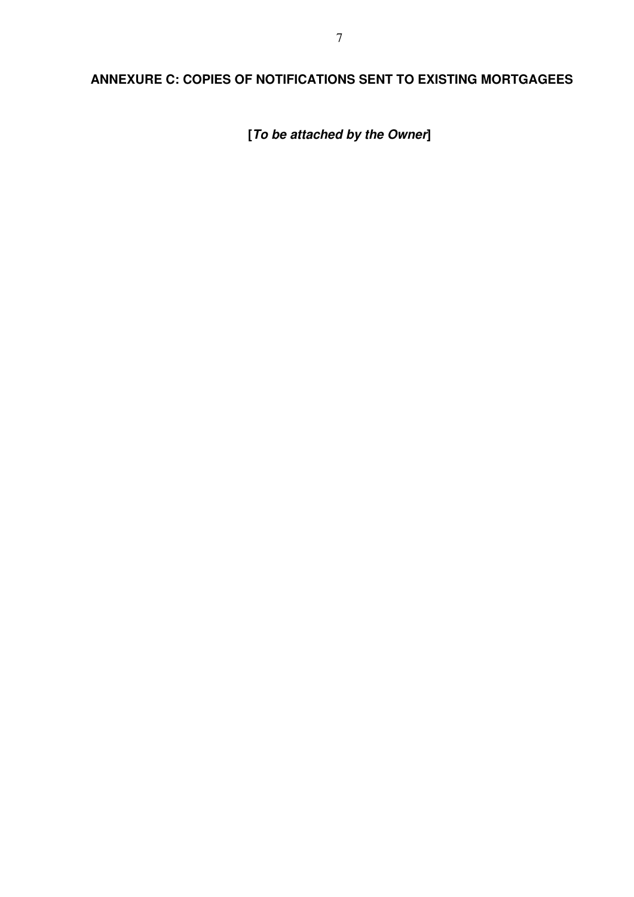# **ANNEXURE C: COPIES OF NOTIFICATIONS SENT TO EXISTING MORTGAGEES**

**[To be attached by the Owner]**